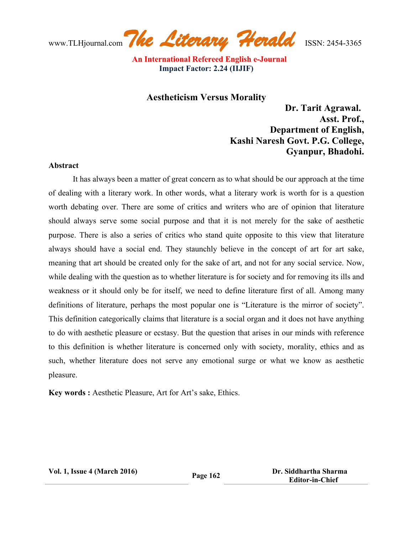www.TLHjournal.com*The Literary Herald*ISSN: 2454-3365

 **An International Refereed English e-Journal Impact Factor: 2.24 (IIJIF)**

## **Aestheticism Versus Morality**

 **Dr. Tarit Agrawal. Asst. Prof., Department of English, Kashi Naresh Govt. P.G. College, Gyanpur, Bhadohi.**

#### **Abstract**

It has always been a matter of great concern as to what should be our approach at the time of dealing with a literary work. In other words, what a literary work is worth for is a question worth debating over. There are some of critics and writers who are of opinion that literature should always serve some social purpose and that it is not merely for the sake of aesthetic purpose. There is also a series of critics who stand quite opposite to this view that literature always should have a social end. They staunchly believe in the concept of art for art sake, meaning that art should be created only for the sake of art, and not for any social service. Now, while dealing with the question as to whether literature is for society and for removing its ills and weakness or it should only be for itself, we need to define literature first of all. Among many definitions of literature, perhaps the most popular one is "Literature is the mirror of society". This definition categorically claims that literature is a social organ and it does not have anything to do with aesthetic pleasure or ecstasy. But the question that arises in our minds with reference to this definition is whether literature is concerned only with society, morality, ethics and as such, whether literature does not serve any emotional surge or what we know as aesthetic pleasure.

**Key words :** Aesthetic Pleasure, Art for Art's sake, Ethics.

**Vol. 1, Issue <sup>4</sup> (March 2016) Page <sup>162</sup> Dr. Siddhartha Sharma Editor-in-Chief**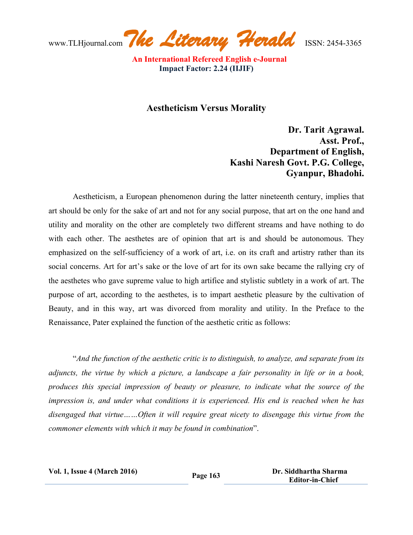www.TLHjournal.com*The Literary Herald*ISSN: 2454-3365

## **Aestheticism Versus Morality**

 **Dr. Tarit Agrawal. Asst. Prof., Department of English, Kashi Naresh Govt. P.G. College, Gyanpur, Bhadohi.**

Aestheticism, a European phenomenon during the latter nineteenth century, implies that art should be only for the sake of art and not for any social purpose, that art on the one hand and utility and morality on the other are completely two different streams and have nothing to do with each other. The aesthetes are of opinion that art is and should be autonomous. They emphasized on the self-sufficiency of a work of art, i.e. on its craft and artistry rather than its social concerns. Art for art's sake or the love of art for its own sake became the rallying cry of the aesthetes who gave supreme value to high artifice and stylistic subtlety in a work of art. The purpose of art, according to the aesthetes, is to impart aesthetic pleasure by the cultivation of Beauty, and in this way, art was divorced from morality and utility. In the Preface to the Renaissance, Pater explained the function of the aesthetic critic as follows:

"*And the function of the aesthetic critic is to distinguish, to analyze, and separate from its adjuncts, the virtue by which a picture, a landscape a fair personality in life or in a book, produces this special impression of beauty or pleasure, to indicate what the source of the impression is, and under what conditions it is experienced. His end is reached when he has disengaged that virtue……Often it will require great nicety to disengage this virtue from the commoner elements with which it may be found in combination*".

| <b>Vol. 1, Issue 4 (March 2016)</b> |  |  |
|-------------------------------------|--|--|
|-------------------------------------|--|--|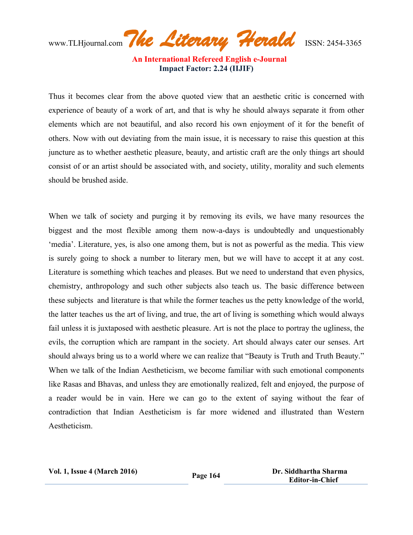www.TLHjournal.com*The Literary Herald*ISSN: 2454-3365

Thus it becomes clear from the above quoted view that an aesthetic critic is concerned with experience of beauty of a work of art, and that is why he should always separate it from other elements which are not beautiful, and also record his own enjoyment of it for the benefit of others. Now with out deviating from the main issue, it is necessary to raise this question at this juncture as to whether aesthetic pleasure, beauty, and artistic craft are the only things art should consist of or an artist should be associated with, and society, utility, morality and such elements should be brushed aside.

When we talk of society and purging it by removing its evils, we have many resources the biggest and the most flexible among them now-a-days is undoubtedly and unquestionably 'media'. Literature, yes, is also one among them, but is not as powerful as the media. This view is surely going to shock a number to literary men, but we will have to accept it at any cost. Literature is something which teaches and pleases. But we need to understand that even physics, chemistry, anthropology and such other subjects also teach us. The basic difference between these subjects and literature is that while the former teaches us the petty knowledge of the world, the latter teaches us the art of living, and true, the art of living is something which would always fail unless it is juxtaposed with aesthetic pleasure. Art is not the place to portray the ugliness, the evils, the corruption which are rampant in the society. Art should always cater our senses. Art should always bring us to a world where we can realize that "Beauty is Truth and Truth Beauty." When we talk of the Indian Aestheticism, we become familiar with such emotional components like Rasas and Bhavas, and unless they are emotionally realized, felt and enjoyed, the purpose of a reader would be in vain. Here we can go to the extent of saying without the fear of contradiction that Indian Aestheticism is far more widened and illustrated than Western Aestheticism.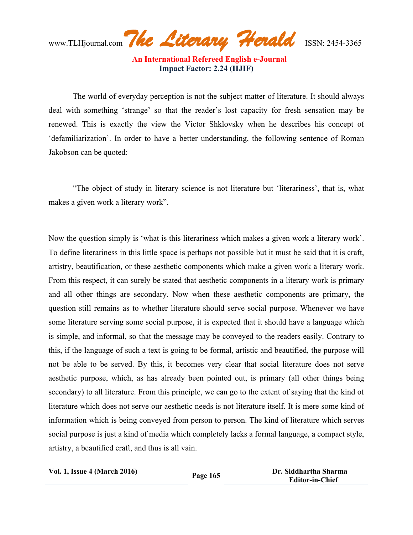www.TLHjournal.com*The Literary Herald*ISSN: 2454-3365

 **An International Refereed English e-Journal Impact Factor: 2.24 (IIJIF)**

The world of everyday perception is not the subject matter of literature. It should always deal with something 'strange' so that the reader's lost capacity for fresh sensation may be renewed. This is exactly the view the Victor Shklovsky when he describes his concept of 'defamiliarization'. In order to have a better understanding, the following sentence of Roman Jakobson can be quoted:

"The object of study in literary science is not literature but 'literariness', that is, what makes a given work a literary work".

Now the question simply is 'what is this literariness which makes a given work a literary work'. To define literariness in this little space is perhaps not possible but it must be said that it is craft, artistry, beautification, or these aesthetic components which make a given work a literary work. From this respect, it can surely be stated that aesthetic components in a literary work is primary and all other things are secondary. Now when these aesthetic components are primary, the question still remains as to whether literature should serve social purpose. Whenever we have some literature serving some social purpose, it is expected that it should have a language which is simple, and informal, so that the message may be conveyed to the readers easily. Contrary to this, if the language of such a text is going to be formal, artistic and beautified, the purpose will not be able to be served. By this, it becomes very clear that social literature does not serve aesthetic purpose, which, as has already been pointed out, is primary (all other things being secondary) to all literature. From this principle, we can go to the extent of saying that the kind of literature which does not serve our aesthetic needs is not literature itself. It is mere some kind of information which is being conveyed from person to person. The kind of literature which serves social purpose is just a kind of media which completely lacks a formal language, a compact style, artistry, a beautified craft, and thus is all vain.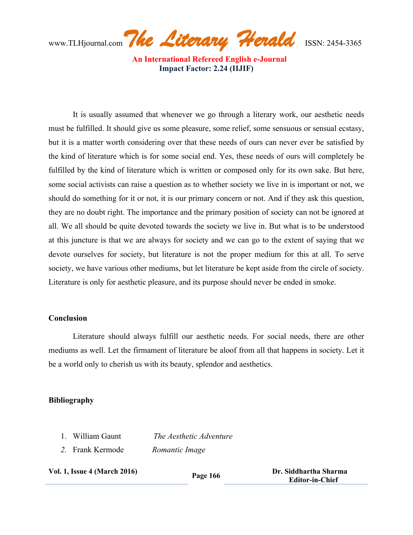www.TLHjournal.com*The Literary Herald*ISSN: 2454-3365

It is usually assumed that whenever we go through a literary work, our aesthetic needs must be fulfilled. It should give us some pleasure, some relief, some sensuous or sensual ecstasy, but it is a matter worth considering over that these needs of ours can never ever be satisfied by the kind of literature which is for some social end. Yes, these needs of ours will completely be fulfilled by the kind of literature which is written or composed only for its own sake. But here, some social activists can raise a question as to whether society we live in is important or not, we should do something for it or not, it is our primary concern or not. And if they ask this question, they are no doubt right. The importance and the primary position of society can not be ignored at all. We all should be quite devoted towards the society we live in. But what is to be understood at this juncture is that we are always for society and we can go to the extent of saying that we devote ourselves for society, but literature is not the proper medium for this at all. To serve society, we have various other mediums, but let literature be kept aside from the circle of society. Literature is only for aesthetic pleasure, and its purpose should never be ended in smoke.

#### **Conclusion**

Literature should always fulfill our aesthetic needs. For social needs, there are other mediums as well. Let the firmament of literature be aloof from all that happens in society. Let it be a world only to cherish us with its beauty, splendor and aesthetics.

### **Bibliography**

- 1. William Gaunt *The Aesthetic Adventure*
- *2.* Frank Kermode *Romantic Image*

|  |  | <b>Vol. 1, Issue 4 (March 2016)</b> |  |
|--|--|-------------------------------------|--|
|--|--|-------------------------------------|--|

**Page 166 Dr. Siddhartha Sharma Page 166 Editor-in-Chief**